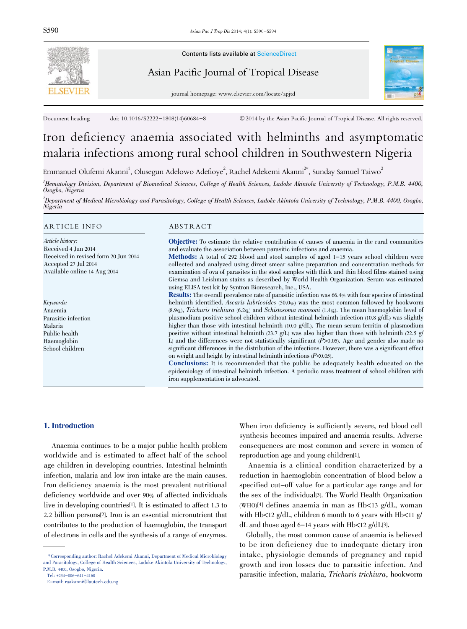

Contents lists available at ScienceDirect

# Asian Pacific Journal of Tropical Disease



journal homepage: www.elsevier.com/locate/apjtd

Document heading doi: 10.1016/S2222-1808(14)60684-8 © 2014 by the Asian Pacific Journal of Tropical Disease. All rights reserved.

# Iron deficiency anaemia associated with helminths and asymptomatic malaria infections among rural school children in Southwestern Nigeria

Emmanuel Olufemi Akanni $^1$ , Olusegun Adelowo Adefioye $^2$ , Rachel Adekemi Akanni $^{2*}$ , Sunday Samuel Taiwo $^2$ 

Hematology Division, Department of Biomedical Sciences, College of Health Sciences, Ladoke Akintola University of Technology, P.M.B. 4400, Osogbo, Nigeria

2 Department of Medical Microbiology and Parasitology, College of Health Sciences, Ladoke Akintola University of Technology, P.M.B. 4400, Osogbo, Nigeria

#### ARTICLE INFO ABSTRACT

Article history: Received 4 Jun 2014 Received in revised form 20 Jun 2014 Accepted 27 Jul 2014 Available online 14 Aug 2014

Keywords: Anaemia Parasitic infection Malaria Public health Haemoglobin School children

Objective: To estimate the relative contribution of causes of anaemia in the rural communities and evaluate the association between parasitic infections and anaemia.

Methods: A total of <sup>292</sup> blood and stool samples of aged <sup>1</sup>-<sup>15</sup> years school children were collected and analyzed using direct smear saline preparation and concentration methods for examination of ova of parasites in the stool samples with thick and thin blood films stained using Giemsa and Leishman stains as described by World Health Organization. Serum was estimated using ELISA test kit by Syntron Bioresearch, Inc., USA.

Results: The overall prevalence rate of parasitic infection was 66.4% with four species of intestinal helminth identified. Ascaris lubricoides (50.0%) was the most common followed by hookworm  $(8.9\%)$ , Trichuris trichiura  $(6.2\%)$  and Schistosoma mansoni  $(1.4\%)$ . The mean haemoglobin level of plasmodium positive school children without intestinal helminth infection (10.8 g/dL) was slightly higher than those with intestinal helminth (10.0 g/dL). The mean serum ferritin of plasmodium positive without intestinal helminth (23.7 g/L) was also higher than those with helminth (22.5 g/ L) and the differences were not statistically significant (P>0.05). Age and gender also made no significant differences in the distribution of the infections. However, there was a significant effect on weight and height by intestinal helminth infections  $(P<0.05)$ .

Conclusions: It is recommended that the public be adequately health educated on the epidemiology of intestinal helminth infection. A periodic mass treatment of school children with iron supplementation is advocated.

# 1. Introduction

Anaemia continues to be a major public health problem worldwide and is estimated to affect half of the school age children in developing countries. Intestinal helminth infection, malaria and low iron intake are the main causes. Iron deficiency anaemia is the most prevalent nutritional deficiency worldwide and over 90% of affected individuals live in developing countries[1]. It is estimated to affect 1.3 to 2.2 billion persons[2]. Iron is an essential micronutrient that contributes to the production of haemoglobin, the transport of electrons in cells and the synthesis of a range of enzymes.

When iron deficiency is sufficiently severe, red blood cell synthesis becomes impaired and anaemia results. Adverse consequences are most common and severe in women of reproduction age and young children[1].

Anaemia is a clinical condition characterized by a reduction in haemoglobin concentration of blood below a specified cut-off value for a particular age range and for the sex of the individual[3]. The World Health Organization (WHO)[4] defines anaemia in man as Hb<13 g/dL, woman with Hb<12 g/dL, children 6 month to 6 years with Hb<11 g/ dL and those aged  $6-14$  years with Hb<12 g/dL[3].

Globally, the most common cause of anaemia is believed to be iron deficiency due to inadequate dietary iron intake, physiologic demands of pregnancy and rapid growth and iron losses due to parasitic infection. And parasitic infection, malaria, Trichuris trichiura, hookworm

<sup>\*</sup>Corresponding author: Rachel Adekemi Akanni, Department of Medical Microbiology and Parasitology, College of Health Sciences, Ladoke Akintola University of Technology, P.M.B. 4400, Osogbo, Nigeria.

Tel: +234-806-641-4160

E-mail: raakanni@lautech.edu.ng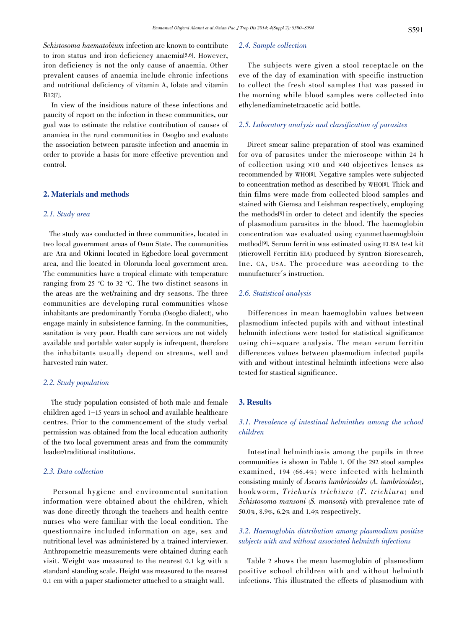Schistosoma haematobium infection are known to contribute to iron status and iron deficiency anaemia[5,6]. However, iron deficiency is not the only cause of anaemia. Other prevalent causes of anaemia include chronic infections and nutritional deficiency of vitamin A, folate and vitamin B12[7].

In view of the insidious nature of these infections and paucity of report on the infection in these communities, our goal was to estimate the relative contribution of causes of anamiea in the rural communities in Osogbo and evaluate the association between parasite infection and anaemia in order to provide a basis for more effective prevention and control.

#### 2. Materials and methods

# 2.1. Study area

The study was conducted in three communities, located in two local government areas of Osun State. The communities are Ara and Okinni located in Egbedore local government area, and Ilie located in Olorunda local government area. The communities have a tropical climate with temperature ranging from 25 °C to 32 °C. The two distinct seasons in the areas are the wet/raining and dry seasons. The three communities are developing rural communities whose inhabitants are predominantly Yoruba (Osogbo dialect), who engage mainly in subsistence farming. In the communities, sanitation is very poor. Health care services are not widely available and portable water supply is infrequent, therefore the inhabitants usually depend on streams, well and harvested rain water.

# 2.2. Study population

The study population consisted of both male and female children aged 1-15 years in school and available healthcare centres. Prior to the commencement of the study verbal permission was obtained from the local education authority of the two local government areas and from the community leader/traditional institutions.

## 2.3. Data collection

Personal hygiene and environmental sanitation information were obtained about the children, which was done directly through the teachers and health centre nurses who were familiar with the local condition. The questionnaire included information on age, sex and nutritional level was administered by a trained interviewer. Anthropometric measurements were obtained during each visit. Weight was measured to the nearest 0.1 kg with a standard standing scale. Height was measured to the nearest 0.1 cm with a paper stadiometer attached to a straight wall.

#### 2.4. Sample collection

The subjects were given a stool receptacle on the eve of the day of examination with specific instruction to collect the fresh stool samples that was passed in the morning while blood samples were collected into ethylenediaminetetraacetic acid bottle.

## 2.5. Laboratory analysis and classification of parasites

Direct smear saline preparation of stool was examined for ova of parasites under the microscope within 24 h of collection using  $\times$ 10 and  $\times$ 40 objectives lenses as recommended by WHO[8]. Negative samples were subjected to concentration method as described by WHO[8]. Thick and thin films were made from collected blood samples and stained with Giemsa and Leishman respectively, employing the methods[9] in order to detect and identify the species of plasmodium parasites in the blood. The haemoglobin concentration was evaluated using cyanmethaemogbloin method[9]. Serum ferritin was estimated using ELISA test kit (Microwell Ferritin EIA) produced by Syntron Bioresearch, Inc. CA, USA. The procedure was according to the manufacturer´s instruction.

# 2.6. Statistical analysis

Differences in mean haemoglobin values between plasmodium infected pupils with and without intestinal helmnith infections were tested for statistical significance using chi-square analysis. The mean serum ferritin differences values between plasmodium infected pupils with and without intestinal helminth infections were also tested for stastical significance.

# 3. Results

# 3.1. Prevalence of intestinal helminthes among the school children

Intestinal helminthiasis among the pupils in three communities is shown in Table 1. Of the 292 stool samples examined, 194 (66.4%) were infected with helminth consisting mainly of Ascaris lumbricoides (A. lumbricoides), hookworm, Trichuris trichiura (T. trichiura) and Schistosoma mansoni (S. mansoni) with prevalence rate of 50.0%, 8.9%, 6.2% and 1.4% respectively.

# 3.2. Haemoglobin distribution among plasmodium positive subjects with and without associated helminth infections

Table 2 shows the mean haemoglobin of plasmodium positive school children with and without helminth infections. This illustrated the effects of plasmodium with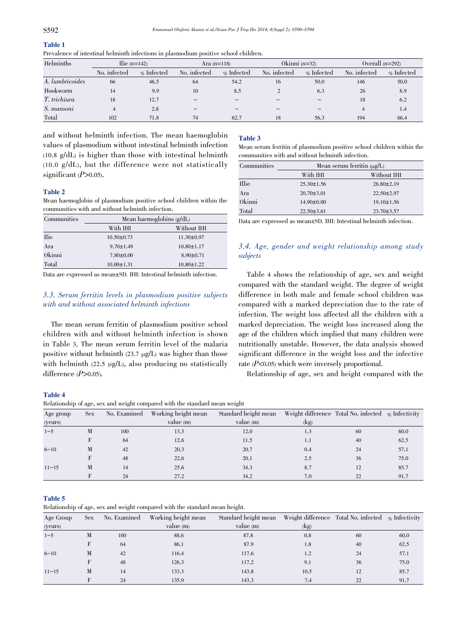# Table 1

| Prevalence of intestinal helminth infections in plasmodium positive school children. |  |
|--------------------------------------------------------------------------------------|--|
|--------------------------------------------------------------------------------------|--|

| Helminths       | Ilie $(n=142)$ |                   | Ara $(n=118)$ |            | Okinni $(n=32)$ |            | Overall $(n=292)$ |                   |
|-----------------|----------------|-------------------|---------------|------------|-----------------|------------|-------------------|-------------------|
|                 | No. infected   | $\alpha$ Infected | No. infected  | % Infected | No. infected    | % Infected | No. infected      | $\alpha$ Infected |
| A. lumbricoides | 66             | 46.5              | 64            | 54.2       | 16              | 50.0       | 146               | 50.0              |
| Hookworm        | 14             | 9.9               | 10            | 8.5        |                 | 6.3        | 26                | 8.9               |
| T. trichiura    | 18             | 12.7              |               |            |                 |            | 18                | 6.2               |
| S. mansoni      |                | 2.8               |               |            |                 | -          |                   | 1.4               |
| Total           | 102            | 71.8              | 74            | 62.7       | 18              | 56.3       | 194               | 66.4              |

and without helminth infection. The mean haemoglobin values of plasmodium without intestinal helminth infection (10.8 g/dL) is higher than those with intestinal helminth (10.0 g/dL), but the difference were not statistically significant  $(P>0.05)$ .

# Table 2

Mean haemoglobin of plasmodium positive school children within the communities with and without helminth infection.

| Communities | Mean haemoglobins $(g/dL)$ |                  |  |  |  |
|-------------|----------------------------|------------------|--|--|--|
|             | With IHI                   | Without IHI      |  |  |  |
| <b>Ilie</b> | $10.50 \pm 0.73$           | $11.30 \pm 0.97$ |  |  |  |
| Ara         | $9.70 \pm 1.49$            | $10.80 \pm 1.17$ |  |  |  |
| Okinni      | $7.80 \pm 0.00$            | $8.90 \pm 0.71$  |  |  |  |
| Total       | $10.00 \pm 1.31$           | $10.80 \pm 1.22$ |  |  |  |

Data are expressed as mean±SD. IHI: Intestinal helminth infection.

# 3.3. Serum ferritin levels in plasmodium positive subjects with and without associated helminth infections

The mean serum ferritin of plasmodium positive school children with and without helminth infection is shown in Table 3. The mean serum ferritin level of the malaria positive without helminth  $(23.7 \mu g/L)$  was higher than those with helminth (22.5 μg/L), also producing no statistically difference  $(P>0.05)$ .

#### Table 3

Mean serum ferritin of plasmodium positive school children within the communities with and without helminth infection.

| Communities | Mean serum ferritin $(\mu g/L)$ |                  |  |  |
|-------------|---------------------------------|------------------|--|--|
|             | With IHI                        | Without IHI      |  |  |
| Illie       | $25.30 \pm 1.56$                | $26.80 \pm 2.19$ |  |  |
| Ara         | $20.70 \pm 3.01$                | $22.50 \pm 2.97$ |  |  |
| Okinni      | $14.90 \pm 0.00$                | $19.10 \pm 1.56$ |  |  |
| Total       | $22.50 \pm 3.61$                | $23.70 \pm 3.57$ |  |  |

Data are expressed as mean±SD. IHI: Intestinal helminth infection.

# 3.4. Age, gender and weight relationship among study subjects

Table 4 shows the relationship of age, sex and weight compared with the standard weight. The degree of weight difference in both male and female school children was compared with a marked depreciation due to the rate of infection. The weight loss affected all the children with a marked depreciation. The weight loss increased along the age of the children which implied that many children were nutritionally unstable. However, the data analysis showed significant difference in the weight loss and the infective rate  $(P<0.05)$  which were inversely proportional.

Relationship of age, sex and height compared with the

#### Table 4

Relationship of age, sex and weight compared with the standard mean weight

| Age group | <b>Sex</b> | No. Examined | Working height mean | Standard height mean |      | Weight difference Total No. infected $\%$ Infectivity |      |
|-----------|------------|--------------|---------------------|----------------------|------|-------------------------------------------------------|------|
| (years)   |            |              | value $(m)$         | value $(m)$          | (kg) |                                                       |      |
| $1 - 5$   | M          | 100          | 13.3                | 12.0                 | 1.3  | 60                                                    | 60.0 |
|           | F          | 64           | 12.6                | 11.5                 | 1.1  | 40                                                    | 62.5 |
| $6 - 10$  | M          | 42           | 20.3                | 20.7                 | 0.4  | 24                                                    | 57.1 |
|           | F          | 48           | 22.6                | 20.1                 | 2.5  | 36                                                    | 75.0 |
| $11 - 15$ | M          | 14           | 25.6                | 34.3                 | 8.7  | 12                                                    | 85.7 |
|           | E          | 24           | 27.2                | 34.2                 | 7.0  | 22                                                    | 91.7 |

#### Table 5

Relationship of age, sex and weight compared with the standard mean height.

| Age Group | <b>Sex</b> | No. Examined | Working height mean | Standard height mean |      | Weight difference Total No. infected $\%$ Infectivity |      |
|-----------|------------|--------------|---------------------|----------------------|------|-------------------------------------------------------|------|
| (years)   |            |              | value $(m)$         | value $(m)$          | (kg) |                                                       |      |
| $1 - 5$   | M          | 100          | 88.6                | 87.8                 | 0.8  | 60                                                    | 60.0 |
|           |            | 64           | 86.1                | 87.9                 | 1.8  | 40                                                    | 62.5 |
| $6 - 10$  | М          | 42           | 116.4               | 117.6                | 1.2  | 24                                                    | 57.1 |
|           |            | 48           | 126.3               | 117.2                | 9.1  | 36                                                    | 75.0 |
| $11 - 15$ | М          | 14           | 133.3               | 143.8                | 10.5 | 12                                                    | 85.7 |
|           |            | 24           | 135.9               | 143.3                | 7.4  | 22                                                    | 91.7 |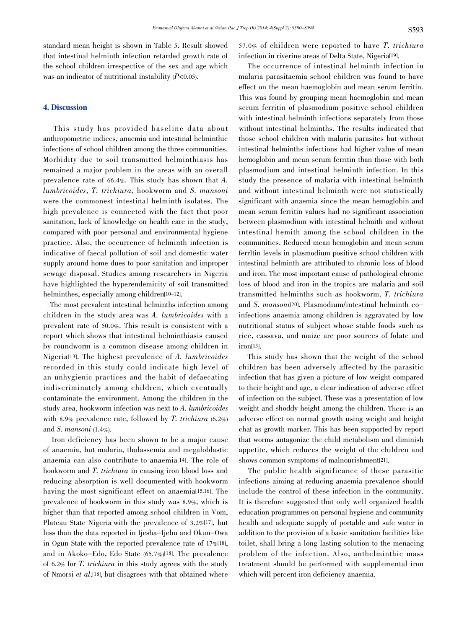standard mean height is shown in Table 5. Result showed that intestinal helminth infection retarded growth rate of the school children irrespective of the sex and age which was an indicator of nutritional instability  $(P<0.05)$ .

# 4. Discussion

This study has provided baseline data about anthropometric indices, anaemia and intestinal helminthic infections of school children among the three communities. Morbidity due to soil transmitted helminthiasis has remained a major problem in the areas with an overall prevalence rate of 66.4%. This study has shown that A. lumbricoides, T. trichiura, hookworm and S. mansoni were the commonest intestinal helminth isolates. The high prevalence is connected with the fact that poor sanitation, lack of knowledge on health care in the study, compared with poor personal and environmental hygiene practice. Also, the occurrence of helminth infection is indicative of faecal pollution of soil and domestic water supply around home dues to poor sanitation and improper sewage disposal. Studies among researchers in Nigeria have highlighted the hyperendemicity of soil transmitted helminthes, especially among children<sup>[10-12]</sup>.

The most prevalent intestinal helminths infection among children in the study area was A. lumbricoides with a prevalent rate of 50.0%. This result is consistent with a report which shows that intestinal helminthiasis caused by roundworm is a common disease among children in Nigeria[13]. The highest prevalence of A. lumbricoides recorded in this study could indicate high level of an unhygienic practices and the habit of defaecating indiscriminately among children, which eventually contaminate the environment. Among the children in the study area, hookworm infection was next to A. lumbricoides with 8.9% prevalence rate, followed by T. trichiura  $(6.2\%)$ and S. mansoni (1.4%).

Iron deficiency has been shown to be a major cause of anaemia, but malaria, thalassemia and megaloblastic anaemia can also contribute to anaemia[14]. The role of hookworm and T. trichiura in causing iron blood loss and reducing absorption is well documented with hookworm having the most significant effect on anaemia<sup>[15,16]</sup>. The prevalence of hookworm in this study was 8.9%, which is higher than that reported among school children in Vom, Plateau State Nigeria with the prevalence of 3.2%[17], but less than the data reported in Ijesha-Ijebu and Okun-Owa in Ogun State with the reported prevalence rate of 17%[18], and in Akoko-Edo, Edo State (65.7%)[18]. The prevalence of 6.2% for T. trichiura in this study agrees with the study of Nmorsi et al.[18], but disagrees with that obtained where 57.0% of children were reported to have T. trichiura infection in riverine areas of Delta State, Nigeria[19].

The occurrence of intestinal helminth infection in malaria parasitaemia school children was found to have effect on the mean haemoglobin and mean serum ferritin. This was found by grouping mean haemoglobin and mean serum ferritin of plasmodium positive school children with intestinal helminth infections separately from those without intestinal helminths. The results indicated that those school children with malaria parasites but without intestinal helminths infections had higher value of mean hemoglobin and mean serum ferritin than those with both plasmodium and intestinal helminth infection. In this study the presence of malaria with intestinal helminth and without intestinal helminth were not statistically significant with anaemia since the mean hemoglobin and mean serum ferritin values had no significant association between plasmodium with intestinal helmith and without intestinal hemith among the school children in the communities. Reduced mean hemoglobin and mean serum ferrItin levels in plasmodium positive school children with intestinal helminth are attributed to chronic loss of blood and iron. The most important cause of pathological chronic loss of blood and iron in the tropics are malaria and soil transmitted helminths such as hookworm, T. trichiura and S. mansoni[20]. Plasmodium/intestinal helminth coinfections anaemia among children is aggravated by low nutritional status of subject whose stable foods such as rice, cassava, and maize are poor sources of folate and iron[13].

This study has shown that the weight of the school children has been adversely affected by the parasitic infection that has given a picture of low weight compared to their height and age, a clear indication of adverse effect of infection on the subject. These was a presentation of low weight and shoddy height among the children. There is an adverse effect on normal growth using weight and height chat as growth marker. This has been supported by report that worms antagonize the child metabolism and diminish appetite, which reduces the weight of the children and shows common symptoms of malnourishment<sup>[21]</sup>.

The public health significance of these parasitic infections aiming at reducing anaemia prevalence should include the control of these infection in the community. It is therefore suggested that only well organized health education programmes on personal hygiene and community health and adequate supply of portable and safe water in addition to the provision of a basic sanitation facilities like toilet, shall bring a long lasting solution to the menacing problem of the infection. Also, anthelminthic mass treatment should be performed with supplemental iron which will percent iron deficiency anaemia.